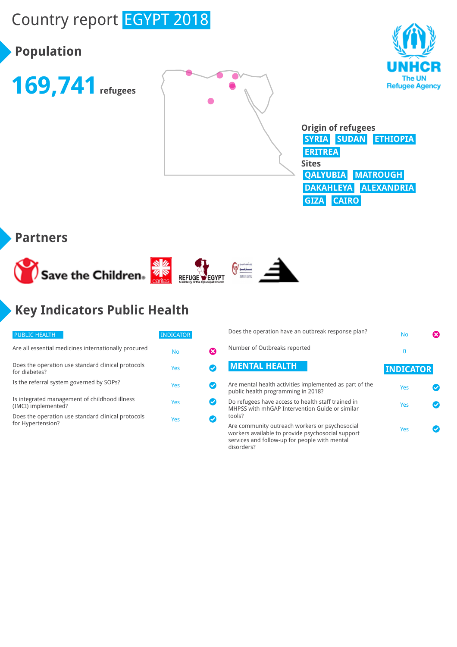# Country report EGYPT 2018

## **Population**





disorders?



**Origin of refugees SYRIA SUDAN ETHIOPIA ERITREA Sites QALYUBIA MATROUGH DAKAHLEYA ALEXANDRIA GIZA CAIRO**

#### **Partners**



## **Key Indicators Public Health**

| <b>PUBLIC HEALTH</b>                                                    | <b>INDICATOR</b> |  |
|-------------------------------------------------------------------------|------------------|--|
| Are all essential medicines internationally procured                    | No               |  |
| Does the operation use standard clinical protocols<br>for diabetes?     | Yes              |  |
| Is the referral system governed by SOPs?                                | Yes              |  |
| Is integrated management of childhood illness<br>(IMCI) implemented?    | Yes              |  |
| Does the operation use standard clinical protocols<br>for Hypertension? | Yes              |  |

| Does the operation have an outbreak response plan?                                                                                                   | No               |  |
|------------------------------------------------------------------------------------------------------------------------------------------------------|------------------|--|
| Number of Outbreaks reported                                                                                                                         | 0                |  |
| <b>MENTAL HEALTH</b>                                                                                                                                 | <b>INDICATOR</b> |  |
| Are mental health activities implemented as part of the<br>public health programming in 2018?                                                        | Yes              |  |
| Do refugees have access to health staff trained in<br>MHPSS with mhGAP Intervention Guide or similar<br>tools?                                       | Yes              |  |
| Are community outreach workers or psychosocial<br>workers available to provide psychosocial support<br>services and follow-up for people with mental | Yes              |  |